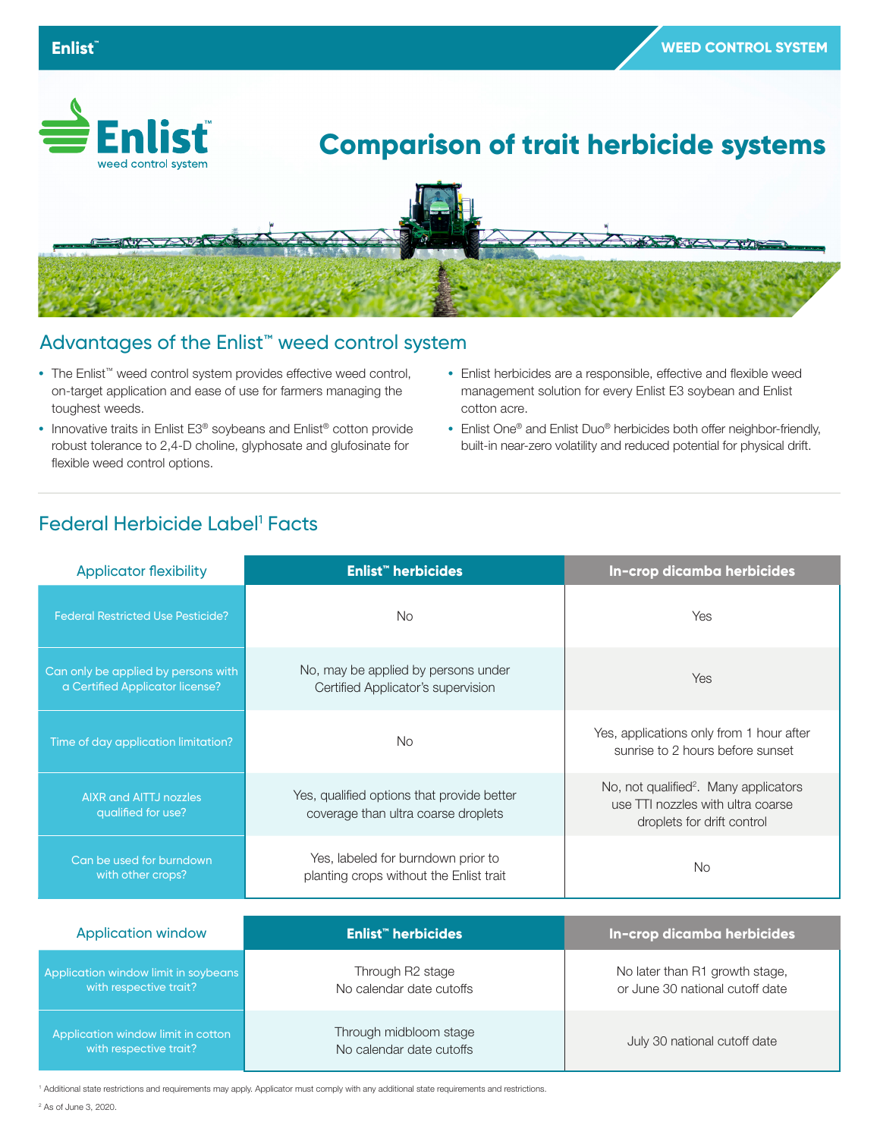

## Advantages of the Enlist™ weed control system

- **•** The Enlist™ weed control system provides effective weed control, on-target application and ease of use for farmers managing the toughest weeds.
- **•** Innovative traits in Enlist E3® soybeans and Enlist® cotton provide robust tolerance to 2,4-D choline, glyphosate and glufosinate for flexible weed control options.
- **•** Enlist herbicides are a responsible, effective and flexible weed management solution for every Enlist E3 soybean and Enlist cotton acre.
- **•** Enlist One® and Enlist Duo® herbicides both offer neighbor-friendly, built-in near-zero volatility and reduced potential for physical drift.

## Federal Herbicide Label<sup>1</sup> Facts

| <b>Applicator flexibility</b>                                          | <b>Enlist</b> " herbicides                                                        | In-crop dicamba herbicides                                                                                           |
|------------------------------------------------------------------------|-----------------------------------------------------------------------------------|----------------------------------------------------------------------------------------------------------------------|
| <b>Federal Restricted Use Pesticide?</b>                               | <b>No</b>                                                                         | Yes                                                                                                                  |
| Can only be applied by persons with<br>a Certified Applicator license? | No, may be applied by persons under<br>Certified Applicator's supervision         | Yes                                                                                                                  |
| Time of day application limitation?                                    | <b>No</b>                                                                         | Yes, applications only from 1 hour after<br>sunrise to 2 hours before sunset                                         |
| <b>AIXR and AITTJ nozzles</b><br>qualified for use?                    | Yes, qualified options that provide better<br>coverage than ultra coarse droplets | No, not qualified <sup>2</sup> . Many applicators<br>use TTI nozzles with ultra coarse<br>droplets for drift control |
| Can be used for burndown<br>with other crops?                          | Yes, labeled for burndown prior to<br>planting crops without the Enlist trait     | No.                                                                                                                  |
| <b>Application window</b>                                              | Enlist <sup>"</sup> herbicides                                                    | In-crop dicamba herbicides                                                                                           |
| Application window limit in soybeans<br>with respective trait?         | Through R2 stage<br>No calendar date cutoffs                                      | No later than R1 growth stage,<br>or June 30 national cutoff date                                                    |
| Application window limit in cotton<br>with respective trait?           | Through midbloom stage<br>No calendar date cutoffs                                | July 30 national cutoff date                                                                                         |

1 Additional state restrictions and requirements may apply. Applicator must comply with any additional state requirements and restrictions. 2 As of June 3, 2020.